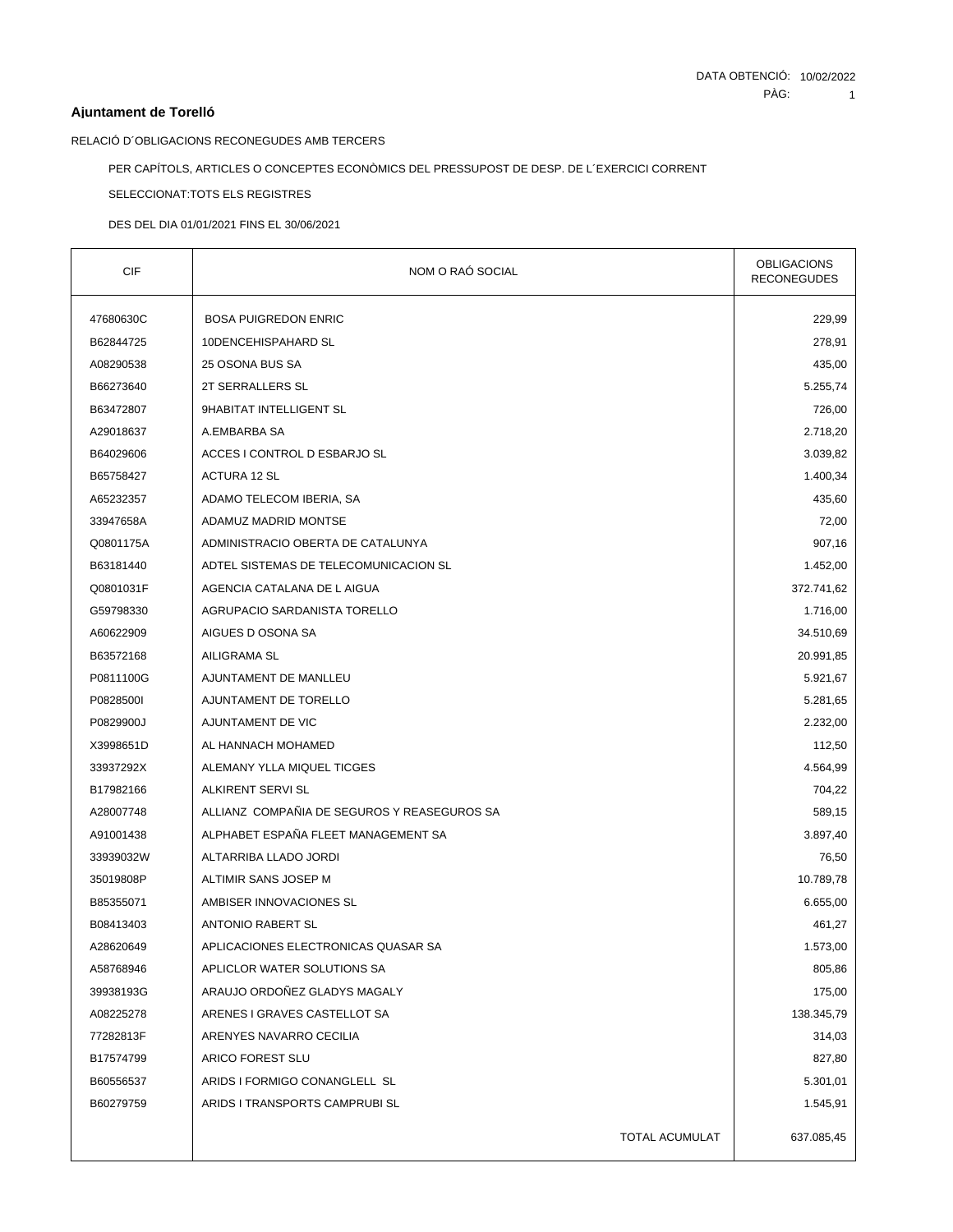# **Ajuntament de Torelló**

RELACIÓ D´OBLIGACIONS RECONEGUDES AMB TERCERS

PER CAPÍTOLS, ARTICLES O CONCEPTES ECONÒMICS DEL PRESSUPOST DE DESP. DE L´EXERCICI CORRENT

SELECCIONAT:TOTS ELS REGISTRES

DES DEL DIA 01/01/2021 FINS EL 30/06/2021

| <b>CIF</b> | NOM O RAÓ SOCIAL                            | <b>OBLIGACIONS</b><br><b>RECONEGUDES</b> |
|------------|---------------------------------------------|------------------------------------------|
| 47680630C  | <b>BOSA PUIGREDON ENRIC</b>                 | 229,99                                   |
| B62844725  | 10DENCEHISPAHARD SL                         | 278,91                                   |
| A08290538  | 25 OSONA BUS SA                             | 435,00                                   |
| B66273640  | 2T SERRALLERS SL                            | 5.255,74                                 |
| B63472807  | 9HABITAT INTELLIGENT SL                     | 726,00                                   |
| A29018637  | A.EMBARBA SA                                | 2.718,20                                 |
| B64029606  | ACCES I CONTROL D ESBARJO SL                | 3.039,82                                 |
| B65758427  | <b>ACTURA 12 SL</b>                         | 1.400,34                                 |
| A65232357  | ADAMO TELECOM IBERIA, SA                    | 435,60                                   |
| 33947658A  | ADAMUZ MADRID MONTSE                        | 72,00                                    |
| Q0801175A  | ADMINISTRACIO OBERTA DE CATALUNYA           | 907,16                                   |
| B63181440  | ADTEL SISTEMAS DE TELECOMUNICACION SL       | 1.452,00                                 |
| Q0801031F  | AGENCIA CATALANA DE L AIGUA                 | 372.741,62                               |
| G59798330  | AGRUPACIO SARDANISTA TORELLO                | 1.716,00                                 |
| A60622909  | AIGUES D OSONA SA                           | 34.510,69                                |
| B63572168  | <b>AILIGRAMA SL</b>                         | 20.991,85                                |
| P0811100G  | AJUNTAMENT DE MANLLEU                       | 5.921,67                                 |
| P0828500I  | AJUNTAMENT DE TORELLO                       | 5.281,65                                 |
| P0829900J  | AJUNTAMENT DE VIC                           | 2.232,00                                 |
| X3998651D  | AL HANNACH MOHAMED                          | 112,50                                   |
| 33937292X  | ALEMANY YLLA MIQUEL TICGES                  | 4.564,99                                 |
| B17982166  | ALKIRENT SERVI SL                           | 704,22                                   |
| A28007748  | ALLIANZ COMPAÑIA DE SEGUROS Y REASEGUROS SA | 589,15                                   |
| A91001438  | ALPHABET ESPAÑA FLEET MANAGEMENT SA         | 3.897,40                                 |
| 33939032W  | ALTARRIBA LLADO JORDI                       | 76,50                                    |
| 35019808P  | ALTIMIR SANS JOSEP M                        | 10.789,78                                |
| B85355071  | AMBISER INNOVACIONES SL                     | 6.655,00                                 |
| B08413403  | <b>ANTONIO RABERT SL</b>                    | 461,27                                   |
| A28620649  | APLICACIONES ELECTRONICAS QUASAR SA         | 1.573,00                                 |
| A58768946  | APLICLOR WATER SOLUTIONS SA                 | 805,86                                   |
| 39938193G  | ARAUJO ORDOÑEZ GLADYS MAGALY                | 175,00                                   |
| A08225278  | ARENES I GRAVES CASTELLOT SA                | 138.345,79                               |
| 77282813F  | ARENYES NAVARRO CECILIA                     | 314,03                                   |
| B17574799  | ARICO FOREST SLU                            | 827,80                                   |
| B60556537  | ARIDS I FORMIGO CONANGLELL SL               | 5.301,01                                 |
| B60279759  | ARIDS I TRANSPORTS CAMPRUBI SL              | 1.545,91                                 |
|            | TOTAL ACUMULAT                              | 637.085,45                               |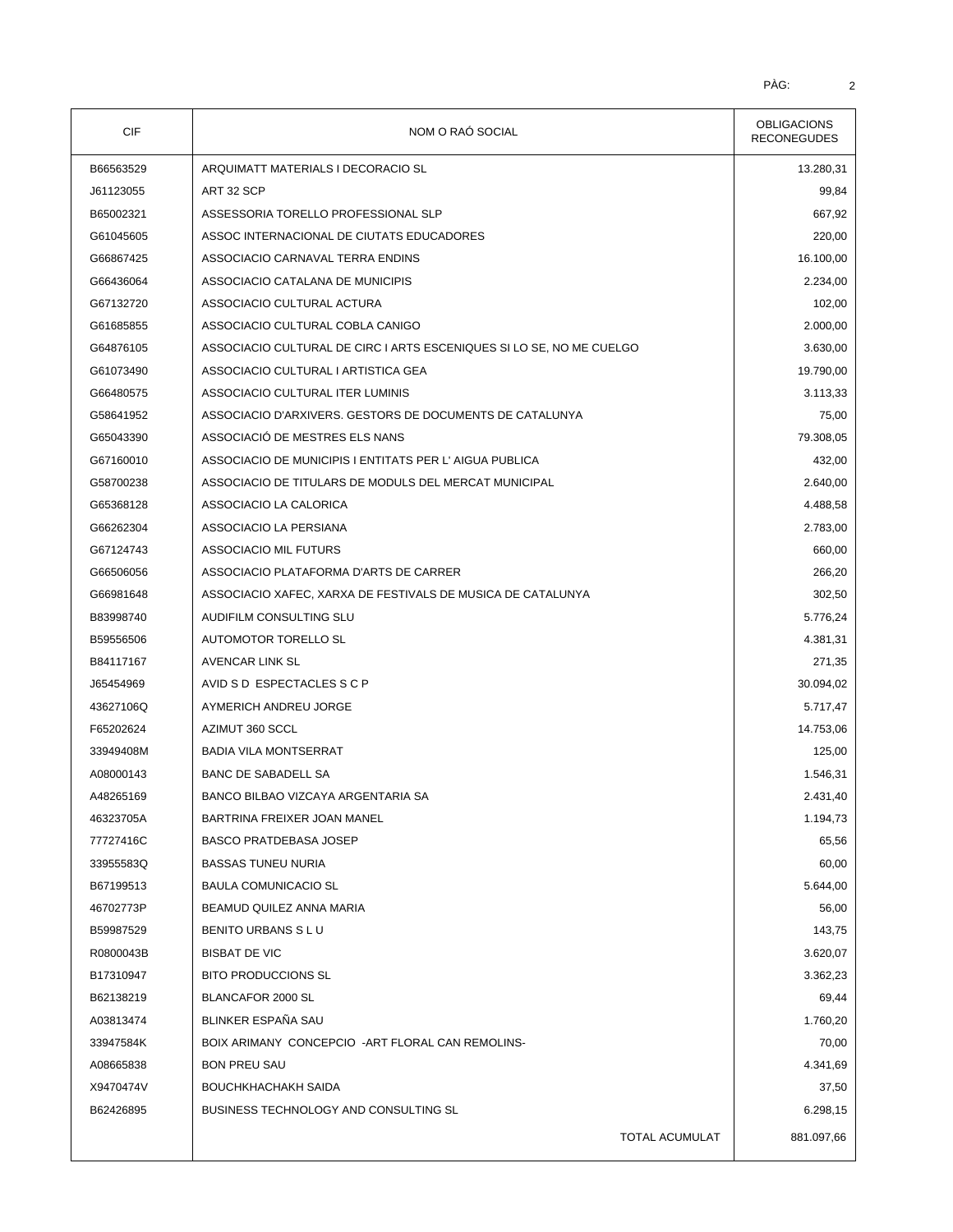| <b>CIF</b> | NOM O RAÓ SOCIAL                                                     | <b>OBLIGACIONS</b><br><b>RECONEGUDES</b> |
|------------|----------------------------------------------------------------------|------------------------------------------|
| B66563529  | ARQUIMATT MATERIALS I DECORACIO SL                                   | 13.280,31                                |
| J61123055  | ART 32 SCP                                                           | 99,84                                    |
| B65002321  | ASSESSORIA TORELLO PROFESSIONAL SLP                                  | 667,92                                   |
| G61045605  | ASSOC INTERNACIONAL DE CIUTATS EDUCADORES                            | 220,00                                   |
| G66867425  | ASSOCIACIO CARNAVAL TERRA ENDINS                                     | 16.100,00                                |
| G66436064  | ASSOCIACIO CATALANA DE MUNICIPIS                                     | 2.234,00                                 |
| G67132720  | ASSOCIACIO CULTURAL ACTURA                                           | 102,00                                   |
| G61685855  | ASSOCIACIO CULTURAL COBLA CANIGO                                     | 2.000,00                                 |
| G64876105  | ASSOCIACIO CULTURAL DE CIRC I ARTS ESCENIQUES SI LO SE, NO ME CUELGO | 3.630,00                                 |
| G61073490  | ASSOCIACIO CULTURAL I ARTISTICA GEA                                  | 19.790,00                                |
| G66480575  | ASSOCIACIO CULTURAL ITER LUMINIS                                     | 3.113,33                                 |
| G58641952  | ASSOCIACIO D'ARXIVERS. GESTORS DE DOCUMENTS DE CATALUNYA             | 75,00                                    |
| G65043390  | ASSOCIACIÓ DE MESTRES ELS NANS                                       | 79.308,05                                |
| G67160010  | ASSOCIACIO DE MUNICIPIS I ENTITATS PER L'AIGUA PUBLICA               | 432,00                                   |
| G58700238  | ASSOCIACIO DE TITULARS DE MODULS DEL MERCAT MUNICIPAL                | 2.640,00                                 |
| G65368128  | ASSOCIACIO LA CALORICA                                               | 4.488,58                                 |
| G66262304  | ASSOCIACIO LA PERSIANA                                               | 2.783,00                                 |
| G67124743  | <b>ASSOCIACIO MIL FUTURS</b>                                         | 660,00                                   |
| G66506056  | ASSOCIACIO PLATAFORMA D'ARTS DE CARRER                               | 266,20                                   |
| G66981648  | ASSOCIACIO XAFEC, XARXA DE FESTIVALS DE MUSICA DE CATALUNYA          | 302,50                                   |
| B83998740  | AUDIFILM CONSULTING SLU                                              | 5.776,24                                 |
| B59556506  | AUTOMOTOR TORELLO SL                                                 | 4.381,31                                 |
| B84117167  | AVENCAR LINK SL                                                      | 271,35                                   |
| J65454969  | AVID S D ESPECTACLES S C P                                           | 30.094,02                                |
| 43627106Q  | AYMERICH ANDREU JORGE                                                | 5.717,47                                 |
| F65202624  | AZIMUT 360 SCCL                                                      | 14.753,06                                |
| 33949408M  | <b>BADIA VILA MONTSERRAT</b>                                         | 125,00                                   |
| A08000143  | <b>BANC DE SABADELL SA</b>                                           | 1.546,31                                 |
| A48265169  | BANCO BILBAO VIZCAYA ARGENTARIA SA                                   | 2.431,40                                 |
| 46323705A  | BARTRINA FREIXER JOAN MANEL                                          | 1.194,73                                 |
| 77727416C  | <b>BASCO PRATDEBASA JOSEP</b>                                        | 65,56                                    |
| 33955583Q  | <b>BASSAS TUNEU NURIA</b>                                            | 60,00                                    |
| B67199513  | <b>BAULA COMUNICACIO SL</b>                                          | 5.644,00                                 |
| 46702773P  | BEAMUD QUILEZ ANNA MARIA                                             | 56,00                                    |
| B59987529  | BENITO URBANS S L U                                                  | 143,75                                   |
| R0800043B  | <b>BISBAT DE VIC</b>                                                 | 3.620,07                                 |
| B17310947  | <b>BITO PRODUCCIONS SL</b>                                           | 3.362,23                                 |
| B62138219  | BLANCAFOR 2000 SL                                                    | 69,44                                    |
| A03813474  | BLINKER ESPAÑA SAU                                                   | 1.760,20                                 |
| 33947584K  | BOIX ARIMANY CONCEPCIO - ART FLORAL CAN REMOLINS-                    | 70,00                                    |
| A08665838  | <b>BON PREU SAU</b>                                                  | 4.341,69                                 |
| X9470474V  | <b>BOUCHKHACHAKH SAIDA</b>                                           | 37,50                                    |
| B62426895  | BUSINESS TECHNOLOGY AND CONSULTING SL                                | 6.298,15                                 |
|            |                                                                      |                                          |
|            | <b>TOTAL ACUMULAT</b>                                                | 881.097,66                               |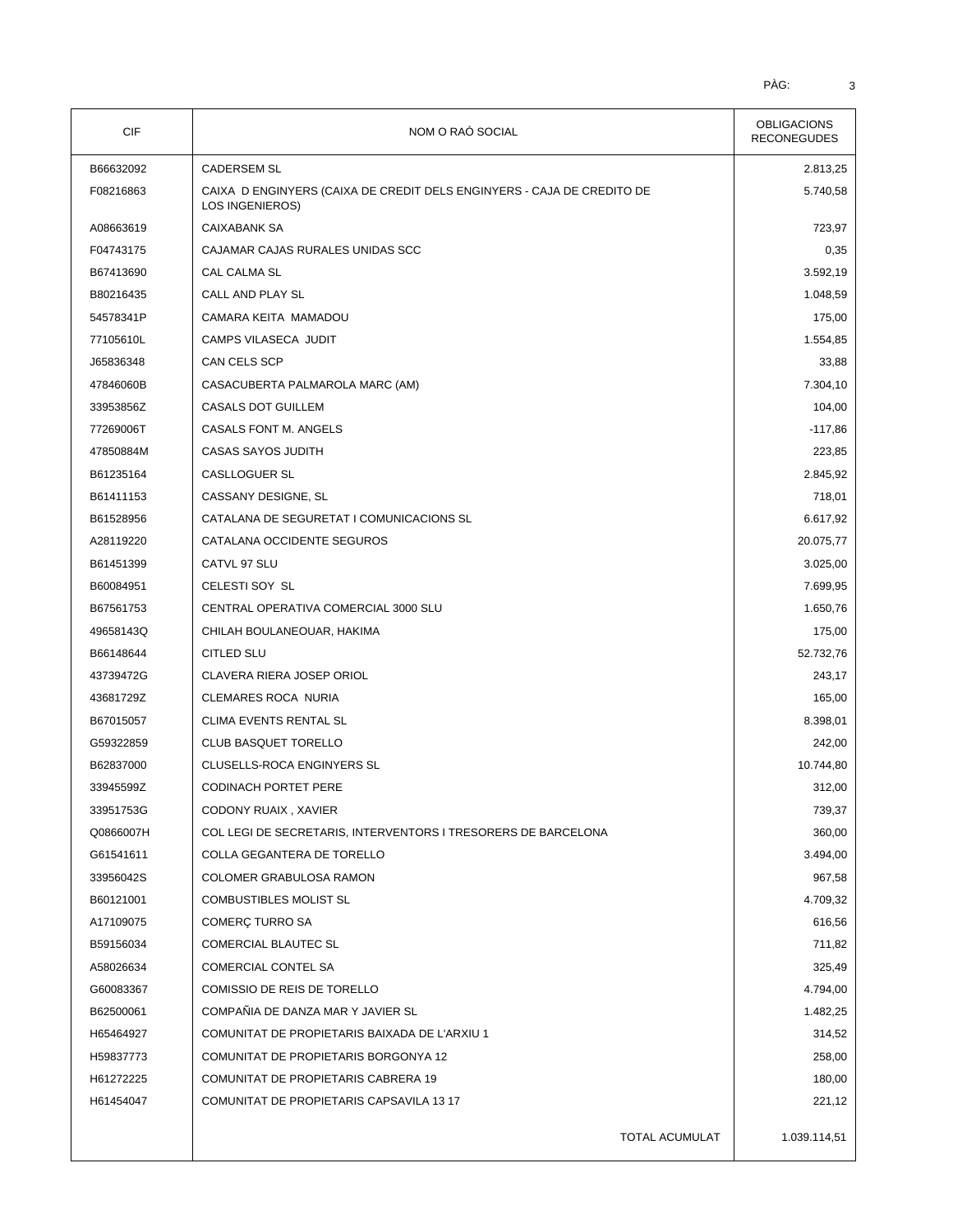| <b>CIF</b> | NOM O RAÓ SOCIAL                                                                          | <b>OBLIGACIONS</b><br><b>RECONEGUDES</b> |  |
|------------|-------------------------------------------------------------------------------------------|------------------------------------------|--|
| B66632092  | <b>CADERSEM SL</b>                                                                        | 2.813,25                                 |  |
| F08216863  | CAIXA D ENGINYERS (CAIXA DE CREDIT DELS ENGINYERS - CAJA DE CREDITO DE<br>LOS INGENIEROS) | 5.740,58                                 |  |
| A08663619  | <b>CAIXABANK SA</b>                                                                       | 723,97                                   |  |
| F04743175  | CAJAMAR CAJAS RURALES UNIDAS SCC                                                          | 0,35                                     |  |
| B67413690  | CAL CALMA SL                                                                              | 3.592,19                                 |  |
| B80216435  | CALL AND PLAY SL                                                                          | 1.048,59                                 |  |
| 54578341P  | CAMARA KEITA MAMADOU                                                                      | 175,00                                   |  |
| 77105610L  | CAMPS VILASECA JUDIT                                                                      | 1.554,85                                 |  |
| J65836348  | CAN CELS SCP                                                                              | 33,88                                    |  |
| 47846060B  | CASACUBERTA PALMAROLA MARC (AM)                                                           | 7.304,10                                 |  |
| 33953856Z  | CASALS DOT GUILLEM                                                                        | 104,00                                   |  |
| 77269006T  | CASALS FONT M. ANGELS                                                                     | $-117,86$                                |  |
| 47850884M  | <b>CASAS SAYOS JUDITH</b>                                                                 | 223,85                                   |  |
| B61235164  | <b>CASLLOGUER SL</b>                                                                      | 2.845,92                                 |  |
| B61411153  | CASSANY DESIGNE, SL                                                                       | 718,01                                   |  |
| B61528956  | CATALANA DE SEGURETAT I COMUNICACIONS SL                                                  | 6.617,92                                 |  |
| A28119220  | CATALANA OCCIDENTE SEGUROS                                                                | 20.075,77                                |  |
| B61451399  | CATVL 97 SLU                                                                              | 3.025,00                                 |  |
| B60084951  | CELESTI SOY SL                                                                            | 7.699,95                                 |  |
| B67561753  | CENTRAL OPERATIVA COMERCIAL 3000 SLU                                                      | 1.650,76                                 |  |
| 49658143Q  | CHILAH BOULANEOUAR, HAKIMA                                                                | 175,00                                   |  |
| B66148644  | <b>CITLED SLU</b>                                                                         | 52.732,76                                |  |
| 43739472G  | CLAVERA RIERA JOSEP ORIOL                                                                 | 243,17                                   |  |
| 43681729Z  | <b>CLEMARES ROCA NURIA</b>                                                                | 165,00                                   |  |
| B67015057  | <b>CLIMA EVENTS RENTAL SL</b>                                                             | 8.398,01                                 |  |
| G59322859  | <b>CLUB BASQUET TORELLO</b>                                                               | 242,00                                   |  |
| B62837000  | CLUSELLS-ROCA ENGINYERS SL                                                                | 10.744,80                                |  |
| 33945599Z  | <b>CODINACH PORTET PERE</b>                                                               | 312,00                                   |  |
| 33951753G  | CODONY RUAIX, XAVIER                                                                      | 739,37                                   |  |
| Q0866007H  | COL LEGI DE SECRETARIS, INTERVENTORS I TRESORERS DE BARCELONA                             | 360,00                                   |  |
| G61541611  | COLLA GEGANTERA DE TORELLO                                                                | 3.494,00                                 |  |
| 33956042S  | COLOMER GRABULOSA RAMON                                                                   | 967,58                                   |  |
| B60121001  | <b>COMBUSTIBLES MOLIST SL</b>                                                             | 4.709,32                                 |  |
| A17109075  | COMERÇ TURRO SA                                                                           | 616,56                                   |  |
| B59156034  | <b>COMERCIAL BLAUTEC SL</b>                                                               | 711,82                                   |  |
| A58026634  | COMERCIAL CONTEL SA                                                                       | 325,49                                   |  |
| G60083367  | COMISSIO DE REIS DE TORELLO                                                               | 4.794,00                                 |  |
| B62500061  | COMPAÑIA DE DANZA MAR Y JAVIER SL                                                         | 1.482,25                                 |  |
| H65464927  | COMUNITAT DE PROPIETARIS BAIXADA DE L'ARXIU 1                                             | 314,52                                   |  |
| H59837773  | COMUNITAT DE PROPIETARIS BORGONYA 12                                                      | 258,00                                   |  |
| H61272225  | COMUNITAT DE PROPIETARIS CABRERA 19                                                       | 180,00                                   |  |
| H61454047  | COMUNITAT DE PROPIETARIS CAPSAVILA 13 17                                                  | 221,12                                   |  |
|            | TOTAL ACUMULAT                                                                            | 1.039.114,51                             |  |
|            |                                                                                           |                                          |  |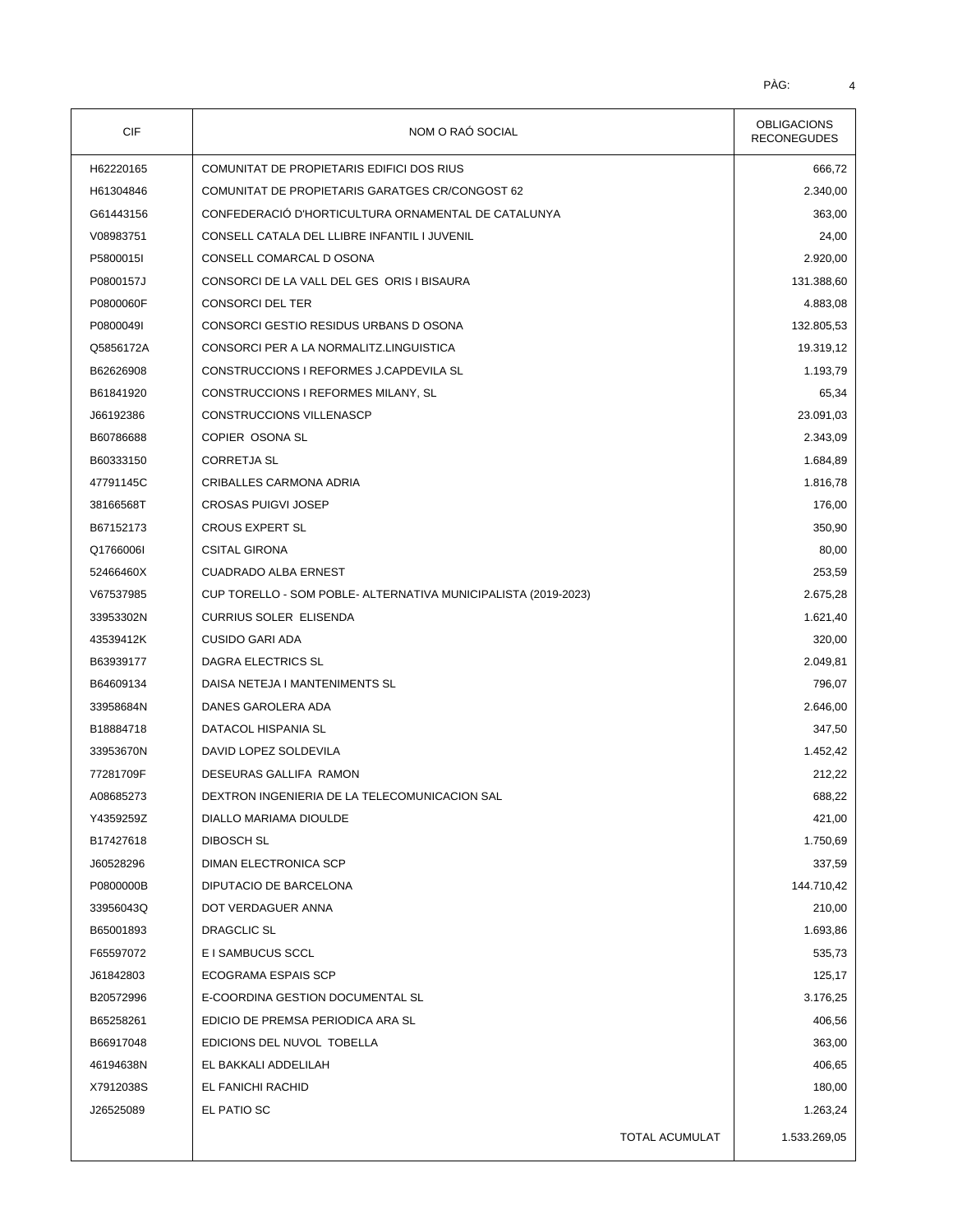| CIF       | NOM O RAÓ SOCIAL                                               | <b>OBLIGACIONS</b><br><b>RECONEGUDES</b> |
|-----------|----------------------------------------------------------------|------------------------------------------|
| H62220165 | COMUNITAT DE PROPIETARIS EDIFICI DOS RIUS                      | 666,72                                   |
| H61304846 | COMUNITAT DE PROPIETARIS GARATGES CR/CONGOST 62                | 2.340,00                                 |
| G61443156 | CONFEDERACIÓ D'HORTICULTURA ORNAMENTAL DE CATALUNYA            | 363,00                                   |
| V08983751 | CONSELL CATALA DEL LLIBRE INFANTIL I JUVENIL                   | 24,00                                    |
| P5800015I | CONSELL COMARCAL D OSONA                                       | 2.920,00                                 |
| P0800157J | CONSORCI DE LA VALL DEL GES ORIS I BISAURA                     | 131.388,60                               |
| P0800060F | <b>CONSORCI DEL TER</b>                                        | 4.883,08                                 |
| P0800049I | CONSORCI GESTIO RESIDUS URBANS D OSONA                         | 132.805,53                               |
| Q5856172A | CONSORCI PER A LA NORMALITZ.LINGUISTICA                        | 19.319,12                                |
| B62626908 | CONSTRUCCIONS I REFORMES J.CAPDEVILA SL                        | 1.193,79                                 |
| B61841920 | CONSTRUCCIONS I REFORMES MILANY, SL                            | 65,34                                    |
| J66192386 | CONSTRUCCIONS VILLENASCP                                       | 23.091,03                                |
| B60786688 | COPIER OSONA SL                                                | 2.343,09                                 |
| B60333150 | <b>CORRETJA SL</b>                                             | 1.684,89                                 |
| 47791145C | CRIBALLES CARMONA ADRIA                                        | 1.816,78                                 |
| 38166568T | <b>CROSAS PUIGVI JOSEP</b>                                     | 176,00                                   |
| B67152173 | <b>CROUS EXPERT SL</b>                                         | 350,90                                   |
| Q1766006I | <b>CSITAL GIRONA</b>                                           | 80,00                                    |
| 52466460X | <b>CUADRADO ALBA ERNEST</b>                                    | 253,59                                   |
| V67537985 | CUP TORELLO - SOM POBLE- ALTERNATIVA MUNICIPALISTA (2019-2023) | 2.675,28                                 |
| 33953302N | <b>CURRIUS SOLER ELISENDA</b>                                  | 1.621,40                                 |
| 43539412K | <b>CUSIDO GARI ADA</b>                                         | 320,00                                   |
| B63939177 | DAGRA ELECTRICS SL                                             | 2.049,81                                 |
| B64609134 | DAISA NETEJA I MANTENIMENTS SL                                 | 796,07                                   |
| 33958684N | DANES GAROLERA ADA                                             | 2.646,00                                 |
| B18884718 | DATACOL HISPANIA SL                                            | 347,50                                   |
| 33953670N | DAVID LOPEZ SOLDEVILA                                          | 1.452,42                                 |
| 77281709F | DESEURAS GALLIFA RAMON                                         | 212,22                                   |
| A08685273 | DEXTRON INGENIERIA DE LA TELECOMUNICACION SAL                  | 688,22                                   |
| Y4359259Z | DIALLO MARIAMA DIOULDE                                         | 421,00                                   |
| B17427618 | <b>DIBOSCH SL</b>                                              | 1.750,69                                 |
| J60528296 | DIMAN ELECTRONICA SCP                                          | 337,59                                   |
| P0800000B | DIPUTACIO DE BARCELONA                                         | 144.710,42                               |
| 33956043Q | DOT VERDAGUER ANNA                                             | 210,00                                   |
| B65001893 | DRAGCLIC SL                                                    | 1.693,86                                 |
| F65597072 | E I SAMBUCUS SCCL                                              | 535,73                                   |
| J61842803 | ECOGRAMA ESPAIS SCP                                            | 125,17                                   |
| B20572996 | E-COORDINA GESTION DOCUMENTAL SL                               | 3.176,25                                 |
| B65258261 | EDICIO DE PREMSA PERIODICA ARA SL                              | 406,56                                   |
| B66917048 | EDICIONS DEL NUVOL TOBELLA                                     | 363,00                                   |
| 46194638N | EL BAKKALI ADDELILAH                                           | 406,65                                   |
| X7912038S | EL FANICHI RACHID                                              | 180,00                                   |
| J26525089 | EL PATIO SC                                                    | 1.263,24                                 |
|           | TOTAL ACUMULAT                                                 | 1.533.269,05                             |
|           |                                                                |                                          |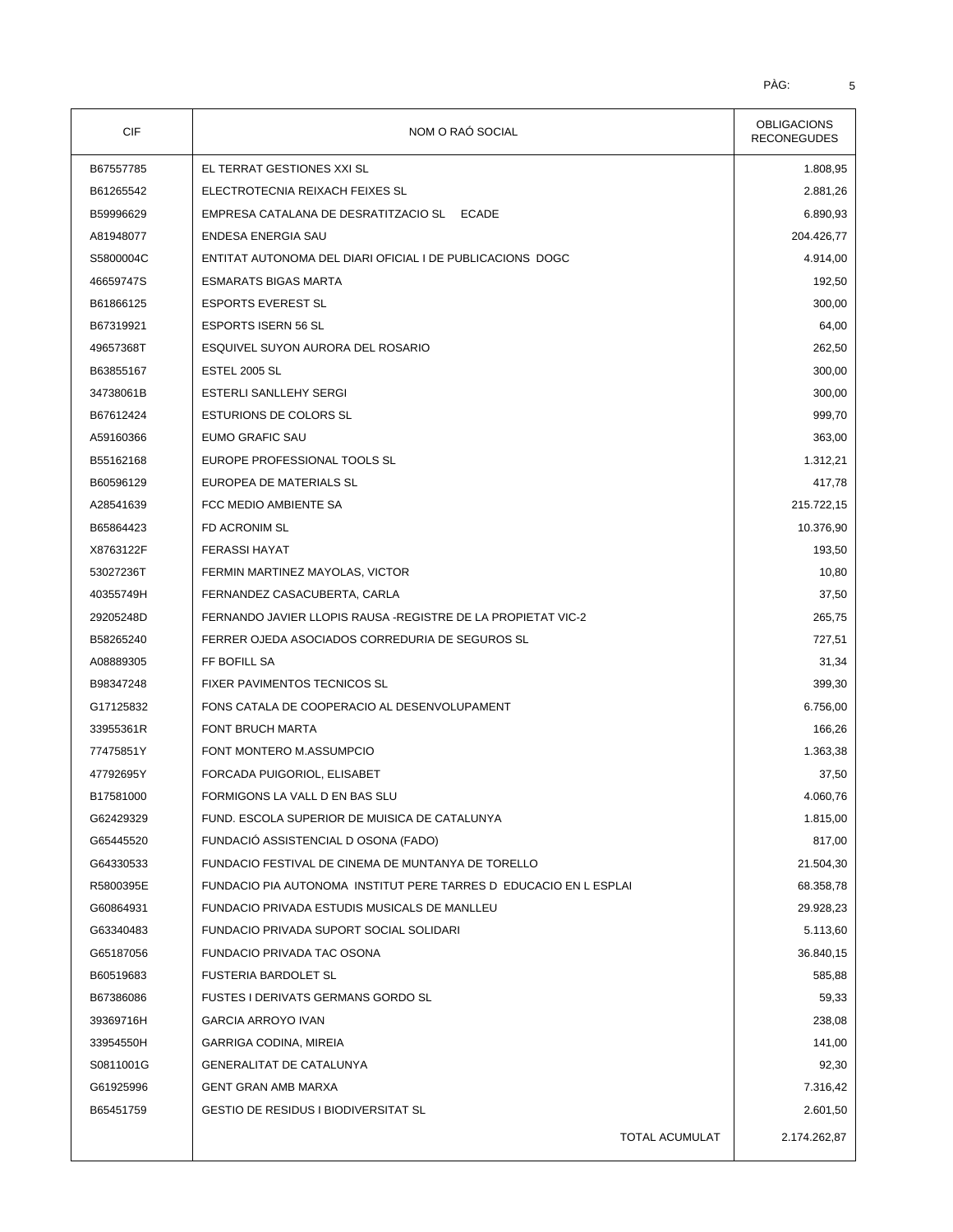| CIF       | NOM O RAÓ SOCIAL                                                  | <b>OBLIGACIONS</b><br><b>RECONEGUDES</b> |
|-----------|-------------------------------------------------------------------|------------------------------------------|
| B67557785 | EL TERRAT GESTIONES XXI SL                                        | 1.808,95                                 |
| B61265542 | ELECTROTECNIA REIXACH FEIXES SL                                   | 2.881,26                                 |
| B59996629 | EMPRESA CATALANA DE DESRATITZACIO SL ECADE                        | 6.890,93                                 |
| A81948077 | ENDESA ENERGIA SAU                                                | 204.426,77                               |
| S5800004C | ENTITAT AUTONOMA DEL DIARI OFICIAL I DE PUBLICACIONS DOGC         | 4.914,00                                 |
| 46659747S | <b>ESMARATS BIGAS MARTA</b>                                       | 192,50                                   |
| B61866125 | <b>ESPORTS EVEREST SL</b>                                         | 300,00                                   |
| B67319921 | <b>ESPORTS ISERN 56 SL</b>                                        | 64,00                                    |
| 49657368T | ESQUIVEL SUYON AURORA DEL ROSARIO                                 | 262,50                                   |
| B63855167 | <b>ESTEL 2005 SL</b>                                              | 300,00                                   |
| 34738061B | ESTERLI SANLLEHY SERGI                                            | 300,00                                   |
| B67612424 | <b>ESTURIONS DE COLORS SL</b>                                     | 999,70                                   |
| A59160366 | EUMO GRAFIC SAU                                                   | 363,00                                   |
| B55162168 | EUROPE PROFESSIONAL TOOLS SL                                      | 1.312,21                                 |
| B60596129 | EUROPEA DE MATERIALS SL                                           | 417,78                                   |
| A28541639 | FCC MEDIO AMBIENTE SA                                             | 215.722,15                               |
| B65864423 | FD ACRONIM SL                                                     | 10.376,90                                |
| X8763122F | <b>FERASSI HAYAT</b>                                              | 193,50                                   |
| 53027236T | FERMIN MARTINEZ MAYOLAS, VICTOR                                   | 10,80                                    |
| 40355749H | FERNANDEZ CASACUBERTA, CARLA                                      | 37,50                                    |
| 29205248D | FERNANDO JAVIER LLOPIS RAUSA - REGISTRE DE LA PROPIETAT VIC-2     | 265,75                                   |
| B58265240 | FERRER OJEDA ASOCIADOS CORREDURIA DE SEGUROS SL                   | 727,51                                   |
| A08889305 | FF BOFILL SA                                                      | 31,34                                    |
| B98347248 | FIXER PAVIMENTOS TECNICOS SL                                      | 399,30                                   |
| G17125832 | FONS CATALA DE COOPERACIO AL DESENVOLUPAMENT                      | 6.756,00                                 |
| 33955361R | FONT BRUCH MARTA                                                  | 166,26                                   |
| 77475851Y | FONT MONTERO M.ASSUMPCIO                                          | 1.363,38                                 |
| 47792695Y | FORCADA PUIGORIOL, ELISABET                                       | 37,50                                    |
| B17581000 | FORMIGONS LA VALL D EN BAS SLU                                    | 4.060,76                                 |
| G62429329 | FUND. ESCOLA SUPERIOR DE MUISICA DE CATALUNYA                     | 1.815,00                                 |
| G65445520 | FUNDACIÓ ASSISTENCIAL DOSONA (FADO)                               | 817,00                                   |
| G64330533 | FUNDACIO FESTIVAL DE CINEMA DE MUNTANYA DE TORELLO                | 21.504,30                                |
| R5800395E | FUNDACIO PIA AUTONOMA INSTITUT PERE TARRES D EDUCACIO EN L ESPLAI | 68.358,78                                |
| G60864931 | FUNDACIO PRIVADA ESTUDIS MUSICALS DE MANLLEU                      | 29.928,23                                |
| G63340483 | FUNDACIO PRIVADA SUPORT SOCIAL SOLIDARI                           | 5.113,60                                 |
| G65187056 | FUNDACIO PRIVADA TAC OSONA                                        | 36.840,15                                |
| B60519683 | <b>FUSTERIA BARDOLET SL</b>                                       | 585,88                                   |
| B67386086 | FUSTES I DERIVATS GERMANS GORDO SL                                | 59,33                                    |
| 39369716H | <b>GARCIA ARROYO IVAN</b>                                         | 238,08                                   |
| 33954550H | GARRIGA CODINA, MIREIA                                            | 141,00                                   |
| S0811001G | <b>GENERALITAT DE CATALUNYA</b>                                   | 92,30                                    |
| G61925996 | <b>GENT GRAN AMB MARXA</b>                                        | 7.316,42                                 |
| B65451759 | <b>GESTIO DE RESIDUS I BIODIVERSITAT SL</b>                       | 2.601,50                                 |
|           | TOTAL ACUMULAT                                                    | 2.174.262,87                             |
|           |                                                                   |                                          |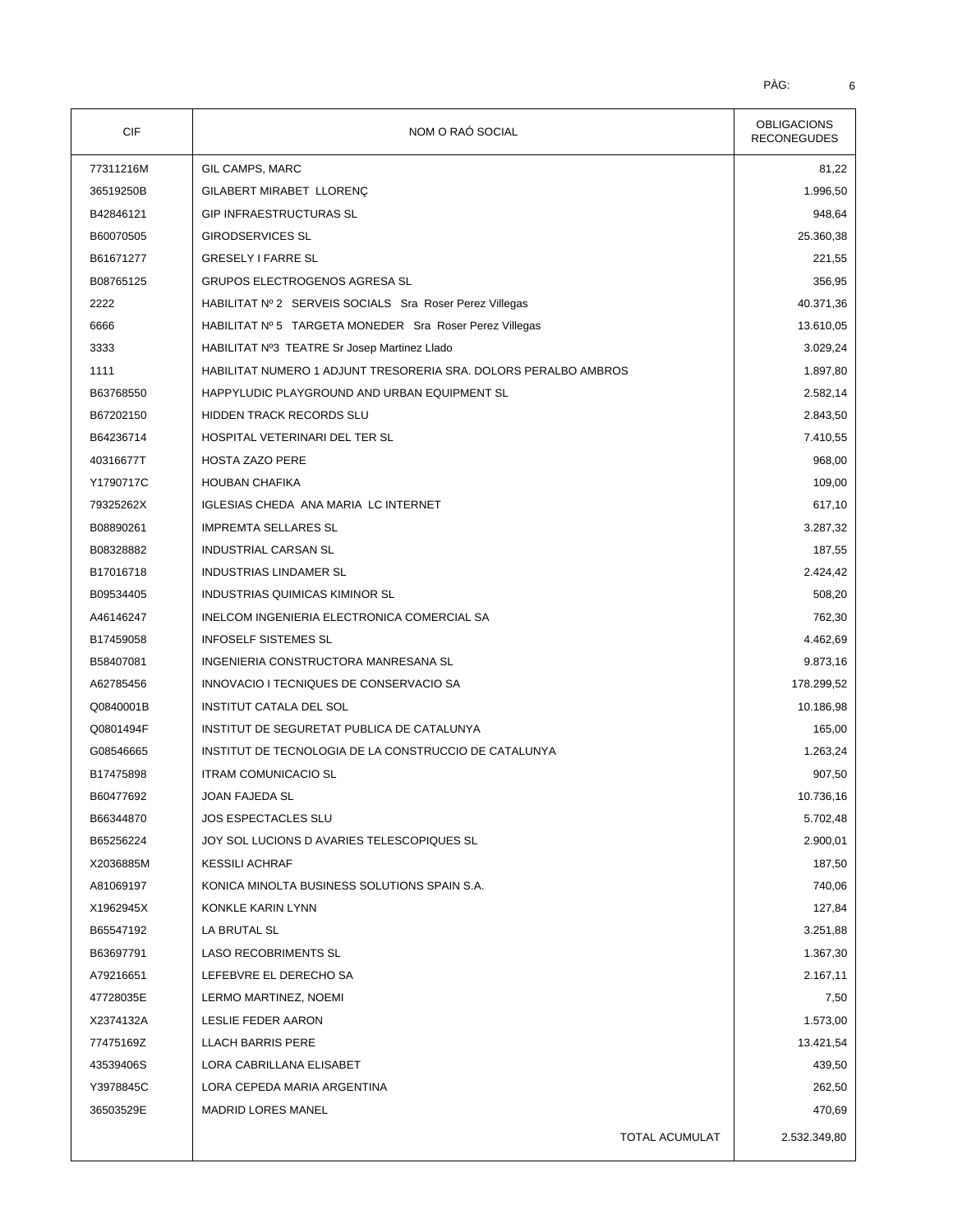| <b>CIF</b> | NOM O RAÓ SOCIAL                                                | <b>OBLIGACIONS</b><br><b>RECONEGUDES</b> |  |
|------------|-----------------------------------------------------------------|------------------------------------------|--|
| 77311216M  | GIL CAMPS, MARC                                                 | 81,22                                    |  |
| 36519250B  | GILABERT MIRABET LLORENÇ                                        | 1.996,50                                 |  |
| B42846121  | <b>GIP INFRAESTRUCTURAS SL</b>                                  | 948,64                                   |  |
| B60070505  | <b>GIRODSERVICES SL</b>                                         | 25.360,38                                |  |
| B61671277  | <b>GRESELY I FARRE SL</b>                                       | 221,55                                   |  |
| B08765125  | GRUPOS ELECTROGENOS AGRESA SL                                   | 356,95                                   |  |
| 2222       | HABILITAT Nº 2 SERVEIS SOCIALS Sra Roser Perez Villegas         | 40.371,36                                |  |
| 6666       | HABILITAT Nº 5 TARGETA MONEDER Sra Roser Perez Villegas         | 13.610,05                                |  |
| 3333       | HABILITAT Nº3 TEATRE Sr Josep Martinez Llado                    | 3.029,24                                 |  |
| 1111       | HABILITAT NUMERO 1 ADJUNT TRESORERIA SRA. DOLORS PERALBO AMBROS | 1.897,80                                 |  |
| B63768550  | HAPPYLUDIC PLAYGROUND AND URBAN EQUIPMENT SL                    | 2.582,14                                 |  |
| B67202150  | HIDDEN TRACK RECORDS SLU                                        | 2.843,50                                 |  |
| B64236714  | HOSPITAL VETERINARI DEL TER SL                                  | 7.410,55                                 |  |
| 40316677T  | <b>HOSTA ZAZO PERE</b>                                          | 968,00                                   |  |
| Y1790717C  | <b>HOUBAN CHAFIKA</b>                                           | 109,00                                   |  |
| 79325262X  | <b>IGLESIAS CHEDA ANA MARIA LC INTERNET</b>                     | 617,10                                   |  |
| B08890261  | <b>IMPREMTA SELLARES SL</b>                                     | 3.287,32                                 |  |
| B08328882  | INDUSTRIAL CARSAN SL                                            | 187,55                                   |  |
| B17016718  | <b>INDUSTRIAS LINDAMER SL</b>                                   | 2.424,42                                 |  |
| B09534405  | INDUSTRIAS QUIMICAS KIMINOR SL                                  | 508,20                                   |  |
| A46146247  | INELCOM INGENIERIA ELECTRONICA COMERCIAL SA                     | 762,30                                   |  |
| B17459058  | <b>INFOSELF SISTEMES SL</b>                                     | 4.462,69                                 |  |
| B58407081  | INGENIERIA CONSTRUCTORA MANRESANA SL                            | 9.873,16                                 |  |
| A62785456  | INNOVACIO I TECNIQUES DE CONSERVACIO SA                         | 178.299,52                               |  |
| Q0840001B  | INSTITUT CATALA DEL SOL                                         | 10.186,98                                |  |
| Q0801494F  | INSTITUT DE SEGURETAT PUBLICA DE CATALUNYA                      | 165,00                                   |  |
| G08546665  | INSTITUT DE TECNOLOGIA DE LA CONSTRUCCIO DE CATALUNYA           | 1.263,24                                 |  |
| B17475898  | <b>ITRAM COMUNICACIO SL</b>                                     | 907,50                                   |  |
| B60477692  | <b>JOAN FAJEDA SL</b>                                           | 10.736,16                                |  |
| B66344870  | <b>JOS ESPECTACLES SLU</b>                                      | 5.702,48                                 |  |
| B65256224  | JOY SOL LUCIONS D AVARIES TELESCOPIQUES SL                      | 2.900,01                                 |  |
| X2036885M  | <b>KESSILI ACHRAF</b>                                           | 187,50                                   |  |
| A81069197  | KONICA MINOLTA BUSINESS SOLUTIONS SPAIN S.A.                    | 740,06                                   |  |
| X1962945X  | KONKLE KARIN LYNN                                               | 127,84                                   |  |
| B65547192  | LA BRUTAL SL                                                    | 3.251,88                                 |  |
| B63697791  | <b>LASO RECOBRIMENTS SL</b>                                     | 1.367,30                                 |  |
| A79216651  | LEFEBVRE EL DERECHO SA                                          | 2.167,11                                 |  |
| 47728035E  | LERMO MARTINEZ, NOEMI                                           | 7,50                                     |  |
| X2374132A  | LESLIE FEDER AARON                                              | 1.573,00                                 |  |
| 77475169Z  | <b>LLACH BARRIS PERE</b>                                        | 13.421,54                                |  |
| 43539406S  | LORA CABRILLANA ELISABET                                        | 439,50                                   |  |
| Y3978845C  | LORA CEPEDA MARIA ARGENTINA                                     | 262,50                                   |  |
| 36503529E  | <b>MADRID LORES MANEL</b>                                       | 470,69                                   |  |
|            | TOTAL ACUMULAT                                                  | 2.532.349,80                             |  |
|            |                                                                 |                                          |  |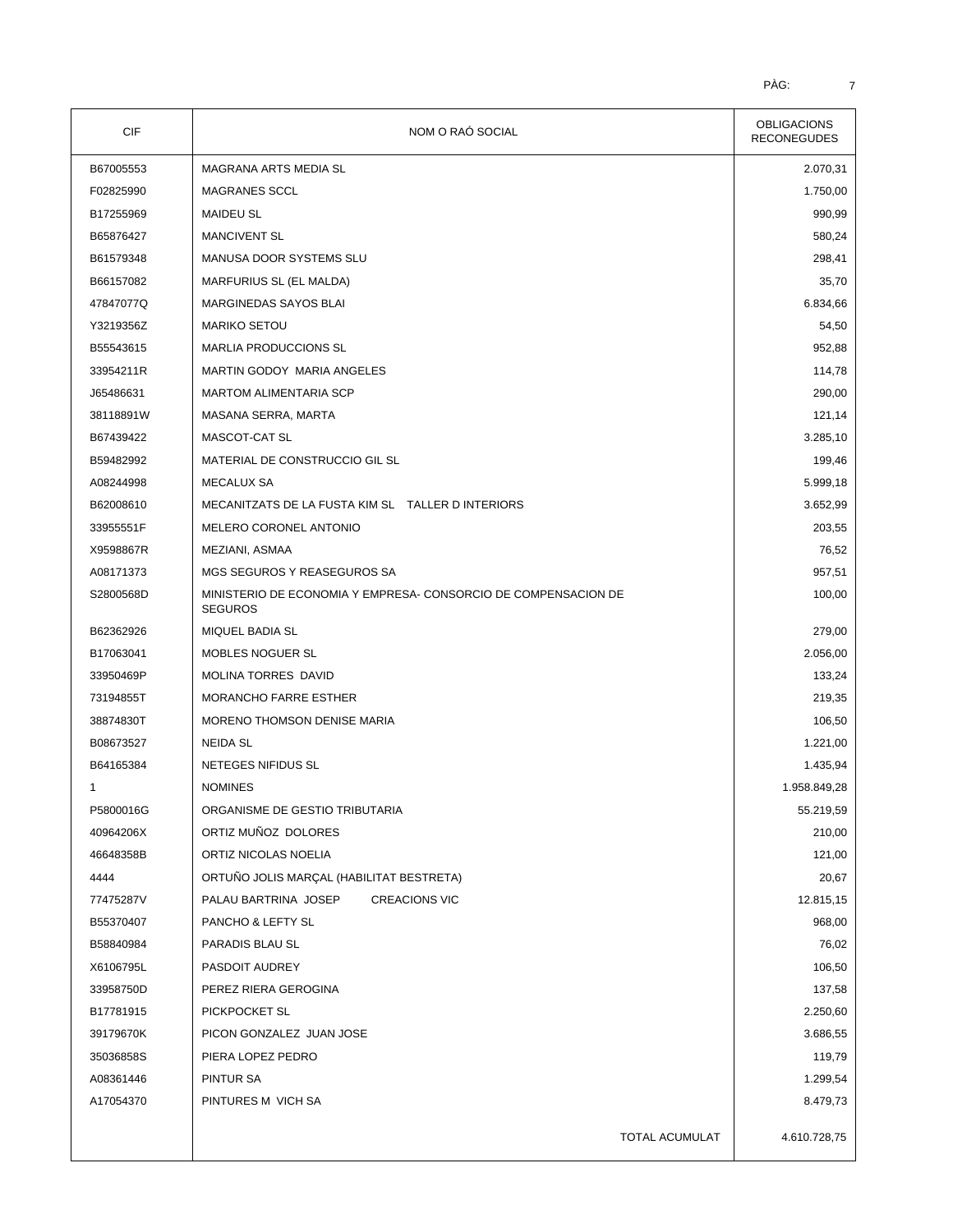| CIF       | NOM O RAÓ SOCIAL                                                                 | <b>OBLIGACIONS</b><br><b>RECONEGUDES</b> |  |
|-----------|----------------------------------------------------------------------------------|------------------------------------------|--|
| B67005553 | MAGRANA ARTS MEDIA SL                                                            | 2.070,31                                 |  |
| F02825990 | <b>MAGRANES SCCL</b>                                                             | 1.750,00                                 |  |
| B17255969 | <b>MAIDEU SL</b>                                                                 | 990,99                                   |  |
| B65876427 | <b>MANCIVENT SL</b>                                                              | 580,24                                   |  |
| B61579348 | MANUSA DOOR SYSTEMS SLU                                                          | 298,41                                   |  |
| B66157082 | MARFURIUS SL (EL MALDA)                                                          | 35,70                                    |  |
| 47847077Q | MARGINEDAS SAYOS BLAI                                                            | 6.834,66                                 |  |
| Y3219356Z | <b>MARIKO SETOU</b>                                                              | 54,50                                    |  |
| B55543615 | MARLIA PRODUCCIONS SL                                                            | 952,88                                   |  |
| 33954211R | MARTIN GODOY MARIA ANGELES                                                       | 114,78                                   |  |
| J65486631 | <b>MARTOM ALIMENTARIA SCP</b>                                                    | 290,00                                   |  |
| 38118891W | MASANA SERRA, MARTA                                                              | 121,14                                   |  |
| B67439422 | MASCOT-CAT SL                                                                    | 3.285,10                                 |  |
| B59482992 | MATERIAL DE CONSTRUCCIO GIL SL                                                   | 199,46                                   |  |
| A08244998 | <b>MECALUX SA</b>                                                                | 5.999,18                                 |  |
| B62008610 | MECANITZATS DE LA FUSTA KIM SL TALLER DINTERIORS                                 | 3.652,99                                 |  |
| 33955551F | MELERO CORONEL ANTONIO                                                           | 203,55                                   |  |
| X9598867R | MEZIANI, ASMAA                                                                   | 76,52                                    |  |
| A08171373 | MGS SEGUROS Y REASEGUROS SA                                                      | 957,51                                   |  |
| S2800568D | MINISTERIO DE ECONOMIA Y EMPRESA- CONSORCIO DE COMPENSACION DE<br><b>SEGUROS</b> | 100,00                                   |  |
| B62362926 | MIQUEL BADIA SL                                                                  | 279,00                                   |  |
| B17063041 | MOBLES NOGUER SL                                                                 | 2.056,00                                 |  |
| 33950469P | MOLINA TORRES DAVID                                                              | 133,24                                   |  |
| 73194855T | MORANCHO FARRE ESTHER                                                            | 219,35                                   |  |
| 38874830T | MORENO THOMSON DENISE MARIA                                                      | 106,50                                   |  |
| B08673527 | <b>NEIDA SL</b>                                                                  | 1.221,00                                 |  |
| B64165384 | NETEGES NIFIDUS SL                                                               | 1.435,94                                 |  |
| 1         | <b>NOMINES</b>                                                                   | 1.958.849,28                             |  |
| P5800016G | ORGANISME DE GESTIO TRIBUTARIA                                                   | 55.219,59                                |  |
| 40964206X | ORTIZ MUÑOZ DOLORES                                                              | 210,00                                   |  |
| 46648358B | ORTIZ NICOLAS NOELIA                                                             | 121,00                                   |  |
| 4444      | ORTUÑO JOLIS MARÇAL (HABILITAT BESTRETA)                                         | 20,67                                    |  |
| 77475287V | PALAU BARTRINA JOSEP<br><b>CREACIONS VIC</b>                                     | 12.815,15                                |  |
| B55370407 | PANCHO & LEFTY SL                                                                | 968,00                                   |  |
| B58840984 | PARADIS BLAU SL                                                                  | 76,02                                    |  |
| X6106795L | PASDOIT AUDREY                                                                   | 106,50                                   |  |
| 33958750D | PEREZ RIERA GEROGINA                                                             | 137,58                                   |  |
| B17781915 | PICKPOCKET SL                                                                    | 2.250,60                                 |  |
| 39179670K | PICON GONZALEZ JUAN JOSE                                                         | 3.686,55                                 |  |
| 35036858S | PIERA LOPEZ PEDRO                                                                | 119,79                                   |  |
| A08361446 | PINTUR SA                                                                        | 1.299,54                                 |  |
| A17054370 | PINTURES M VICH SA                                                               | 8.479,73                                 |  |
|           |                                                                                  |                                          |  |
|           | TOTAL ACUMULAT                                                                   | 4.610.728,75                             |  |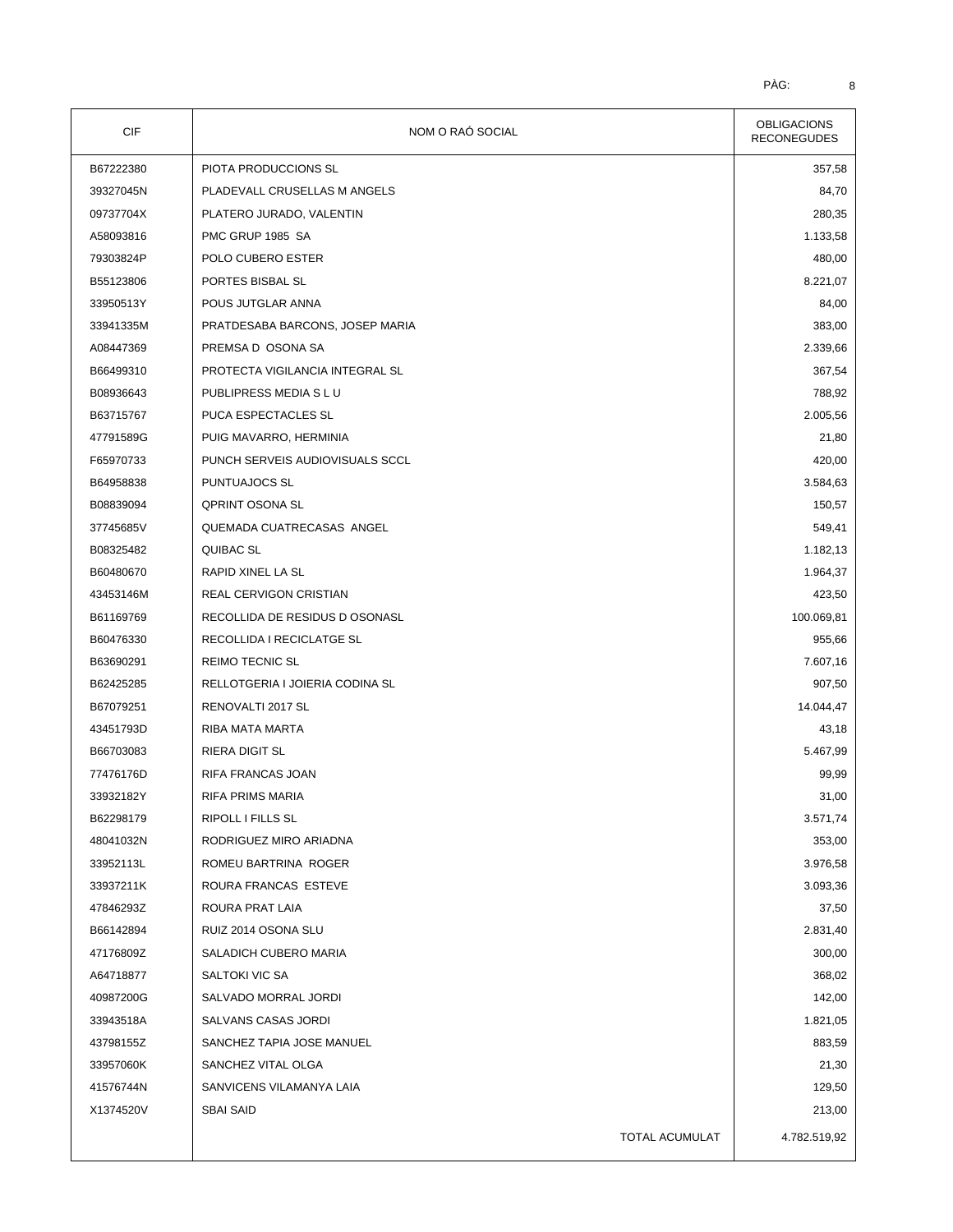| CIF       | NOM O RAÓ SOCIAL                | <b>OBLIGACIONS</b><br><b>RECONEGUDES</b> |
|-----------|---------------------------------|------------------------------------------|
| B67222380 | PIOTA PRODUCCIONS SL            | 357,58                                   |
| 39327045N | PLADEVALL CRUSELLAS M ANGELS    | 84,70                                    |
| 09737704X | PLATERO JURADO, VALENTIN        | 280,35                                   |
| A58093816 | PMC GRUP 1985 SA                | 1.133,58                                 |
| 79303824P | POLO CUBERO ESTER               | 480,00                                   |
| B55123806 | PORTES BISBAL SL                | 8.221,07                                 |
| 33950513Y | POUS JUTGLAR ANNA               | 84,00                                    |
| 33941335M | PRATDESABA BARCONS, JOSEP MARIA | 383,00                                   |
| A08447369 | PREMSA D OSONA SA               | 2.339,66                                 |
| B66499310 | PROTECTA VIGILANCIA INTEGRAL SL | 367,54                                   |
| B08936643 | PUBLIPRESS MEDIA S L U          | 788,92                                   |
| B63715767 | PUCA ESPECTACLES SL             | 2.005,56                                 |
| 47791589G | PUIG MAVARRO, HERMINIA          | 21,80                                    |
| F65970733 | PUNCH SERVEIS AUDIOVISUALS SCCL | 420,00                                   |
| B64958838 | PUNTUAJOCS SL                   | 3.584,63                                 |
| B08839094 | <b>QPRINT OSONA SL</b>          | 150,57                                   |
| 37745685V | QUEMADA CUATRECASAS ANGEL       | 549,41                                   |
| B08325482 | QUIBAC SL                       | 1.182,13                                 |
| B60480670 | RAPID XINEL LA SL               | 1.964,37                                 |
| 43453146M | REAL CERVIGON CRISTIAN          | 423,50                                   |
| B61169769 | RECOLLIDA DE RESIDUS D OSONASL  | 100.069,81                               |
| B60476330 | RECOLLIDA I RECICLATGE SL       | 955,66                                   |
| B63690291 | <b>REIMO TECNIC SL</b>          | 7.607,16                                 |
| B62425285 | RELLOTGERIA I JOIERIA CODINA SL | 907,50                                   |
| B67079251 | RENOVALTI 2017 SL               | 14.044,47                                |
| 43451793D | RIBA MATA MARTA                 | 43,18                                    |
| B66703083 | <b>RIERA DIGIT SL</b>           | 5.467,99                                 |
| 77476176D | RIFA FRANCAS JOAN               | 99,99                                    |
| 33932182Y | <b>RIFA PRIMS MARIA</b>         | 31,00                                    |
| B62298179 | RIPOLL I FILLS SL               | 3.571,74                                 |
| 48041032N | RODRIGUEZ MIRO ARIADNA          | 353,00                                   |
| 33952113L | ROMEU BARTRINA ROGER            | 3.976,58                                 |
| 33937211K | ROURA FRANCAS ESTEVE            | 3.093,36                                 |
| 47846293Z | ROURA PRAT LAIA                 | 37,50                                    |
| B66142894 | RUIZ 2014 OSONA SLU             | 2.831,40                                 |
| 47176809Z | SALADICH CUBERO MARIA           | 300,00                                   |
| A64718877 | SALTOKI VIC SA                  | 368,02                                   |
| 40987200G | SALVADO MORRAL JORDI            | 142,00                                   |
| 33943518A | SALVANS CASAS JORDI             | 1.821,05                                 |
| 43798155Z | SANCHEZ TAPIA JOSE MANUEL       | 883,59                                   |
| 33957060K | SANCHEZ VITAL OLGA              | 21,30                                    |
| 41576744N | SANVICENS VILAMANYA LAIA        | 129,50                                   |
| X1374520V | <b>SBAI SAID</b>                | 213,00                                   |
|           | TOTAL ACUMULAT                  | 4.782.519,92                             |
|           |                                 |                                          |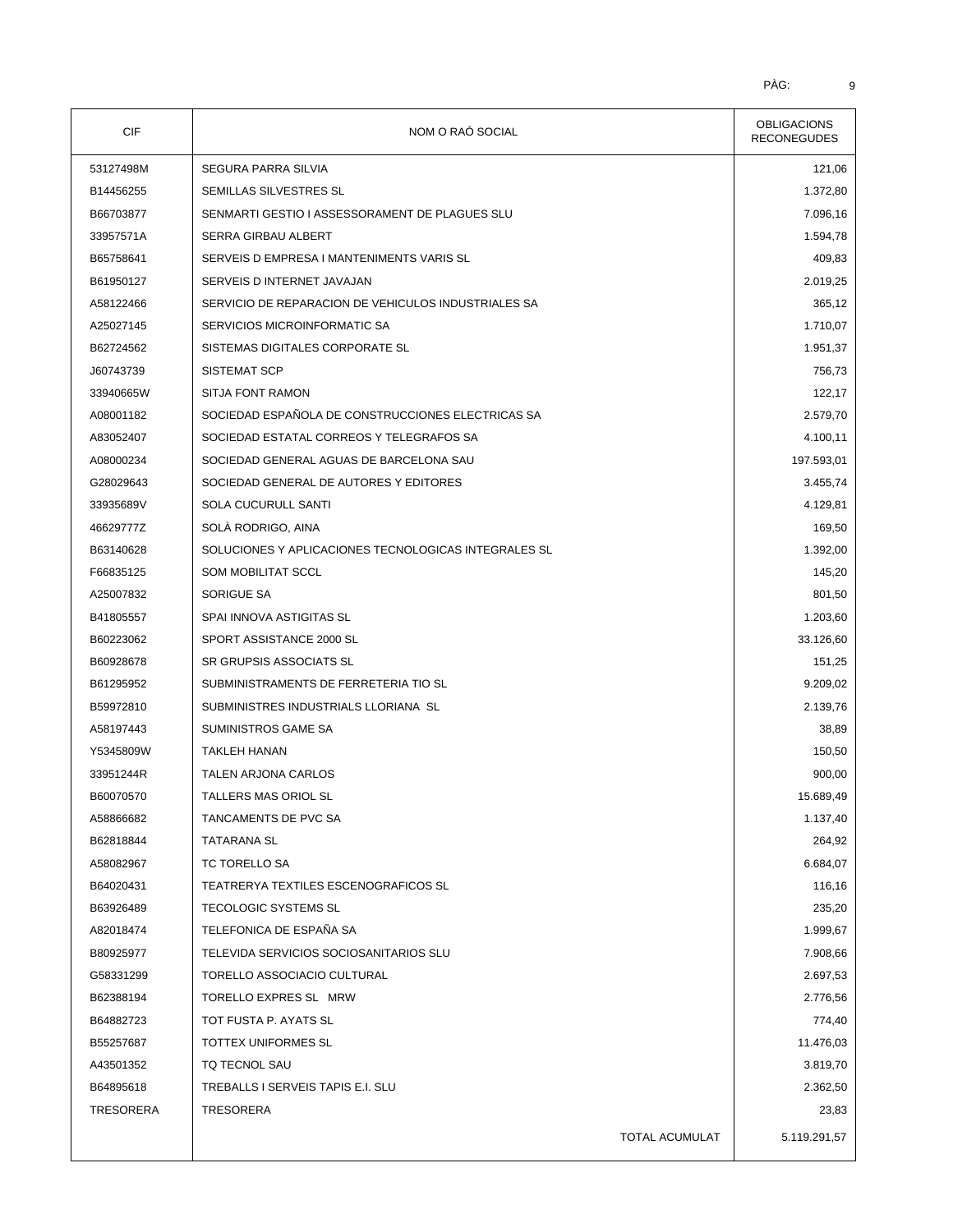| <b>CIF</b>             | NOM O RAÓ SOCIAL                                                      | <b>OBLIGACIONS</b><br><b>RECONEGUDES</b> |
|------------------------|-----------------------------------------------------------------------|------------------------------------------|
| 53127498M              | SEGURA PARRA SILVIA                                                   | 121,06                                   |
| B14456255              | SEMILLAS SILVESTRES SL                                                | 1.372,80                                 |
| B66703877              | SENMARTI GESTIO I ASSESSORAMENT DE PLAGUES SLU                        | 7.096,16                                 |
| 33957571A              | SERRA GIRBAU ALBERT                                                   | 1.594,78                                 |
| B65758641              | SERVEIS D EMPRESA I MANTENIMENTS VARIS SL                             | 409,83                                   |
| B61950127              | SERVEIS D INTERNET JAVAJAN                                            | 2.019,25                                 |
| A58122466              | SERVICIO DE REPARACION DE VEHICULOS INDUSTRIALES SA                   | 365,12                                   |
| A25027145              | SERVICIOS MICROINFORMATIC SA                                          | 1.710,07                                 |
| B62724562              | SISTEMAS DIGITALES CORPORATE SL                                       | 1.951,37                                 |
| J60743739              | <b>SISTEMAT SCP</b>                                                   | 756,73                                   |
| 33940665W              | <b>SITJA FONT RAMON</b>                                               | 122,17                                   |
| A08001182              | SOCIEDAD ESPAÑOLA DE CONSTRUCCIONES ELECTRICAS SA                     | 2.579,70                                 |
| A83052407              | SOCIEDAD ESTATAL CORREOS Y TELEGRAFOS SA                              | 4.100,11                                 |
| A08000234              | SOCIEDAD GENERAL AGUAS DE BARCELONA SAU                               | 197.593,01                               |
| G28029643              | SOCIEDAD GENERAL DE AUTORES Y EDITORES                                | 3.455,74                                 |
| 33935689V              | SOLA CUCURULL SANTI                                                   | 4.129,81                                 |
| 46629777Z              | SOLÀ RODRIGO, AINA                                                    | 169,50                                   |
| B63140628              | SOLUCIONES Y APLICACIONES TECNOLOGICAS INTEGRALES SL                  | 1.392,00                                 |
| F66835125              | <b>SOM MOBILITAT SCCL</b>                                             | 145,20                                   |
| A25007832              | SORIGUE SA                                                            | 801,50                                   |
| B41805557              | SPAI INNOVA ASTIGITAS SL                                              | 1.203,60                                 |
| B60223062              | SPORT ASSISTANCE 2000 SL                                              | 33.126,60                                |
| B60928678              | SR GRUPSIS ASSOCIATS SL                                               | 151,25                                   |
| B61295952              | SUBMINISTRAMENTS DE FERRETERIA TIO SL                                 | 9.209,02                                 |
| B59972810              | SUBMINISTRES INDUSTRIALS LLORIANA SL                                  | 2.139,76                                 |
| A58197443              | SUMINISTROS GAME SA                                                   | 38,89                                    |
| Y5345809W              | <b>TAKLEH HANAN</b>                                                   | 150,50                                   |
| 33951244R              | TALEN ARJONA CARLOS                                                   | 900,00                                   |
| B60070570              | TALLERS MAS ORIOL SL                                                  | 15.689,49                                |
| A58866682              | TANCAMENTS DE PVC SA                                                  | 1.137,40                                 |
| B62818844              | TATARANA SL                                                           | 264,92                                   |
| A58082967              | TC TORELLO SA                                                         | 6.684,07                                 |
| B64020431              | TEATRERYA TEXTILES ESCENOGRAFICOS SL                                  | 116,16                                   |
| B63926489              | TECOLOGIC SYSTEMS SL                                                  | 235,20                                   |
| A82018474              | TELEFONICA DE ESPAÑA SA                                               | 1.999,67                                 |
|                        |                                                                       |                                          |
| B80925977<br>G58331299 | TELEVIDA SERVICIOS SOCIOSANITARIOS SLU<br>TORELLO ASSOCIACIO CULTURAL | 7.908,66<br>2.697,53                     |
| B62388194              | TORELLO EXPRES SL MRW                                                 | 2.776,56                                 |
| B64882723              | TOT FUSTA P. AYATS SL                                                 | 774,40                                   |
| B55257687              | TOTTEX UNIFORMES SL                                                   | 11.476,03                                |
|                        |                                                                       |                                          |
| A43501352              | TQ TECNOL SAU                                                         | 3.819,70                                 |
| B64895618              | TREBALLS I SERVEIS TAPIS E.I. SLU                                     | 2.362,50                                 |
| TRESORERA              | TRESORERA                                                             | 23,83                                    |
|                        | TOTAL ACUMULAT                                                        | 5.119.291,57                             |